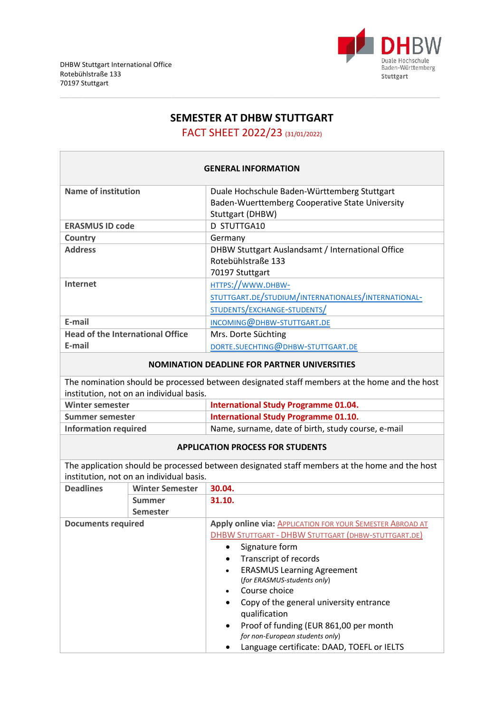

# **SEMESTER AT DHBW STUTTGART**

FACT SHEET 2022/23 (31/01/2022)

| <b>GENERAL INFORMATION</b>                          |                                          |                                                                                               |  |  |
|-----------------------------------------------------|------------------------------------------|-----------------------------------------------------------------------------------------------|--|--|
| <b>Name of institution</b>                          |                                          | Duale Hochschule Baden-Württemberg Stuttgart                                                  |  |  |
|                                                     |                                          | Baden-Wuerttemberg Cooperative State University                                               |  |  |
|                                                     |                                          | Stuttgart (DHBW)                                                                              |  |  |
| <b>ERASMUS ID code</b>                              |                                          | D STUTTGA10                                                                                   |  |  |
| Country                                             |                                          | Germany                                                                                       |  |  |
| <b>Address</b>                                      |                                          | DHBW Stuttgart Auslandsamt / International Office                                             |  |  |
|                                                     |                                          | Rotebühlstraße 133                                                                            |  |  |
|                                                     |                                          | 70197 Stuttgart                                                                               |  |  |
| Internet                                            |                                          | HTTPS://WWW.DHBW-                                                                             |  |  |
|                                                     |                                          | STUTTGART.DE/STUDIUM/INTERNATIONALES/INTERNATIONAL-                                           |  |  |
|                                                     |                                          | STUDENTS/EXCHANGE-STUDENTS/                                                                   |  |  |
| E-mail                                              |                                          | INCOMING@DHBW-STUTTGART.DE                                                                    |  |  |
| <b>Head of the International Office</b>             |                                          | Mrs. Dorte Süchting                                                                           |  |  |
| E-mail                                              |                                          | DORTE.SUECHTING@DHBW-STUTTGART.DE                                                             |  |  |
| <b>NOMINATION DEADLINE FOR PARTNER UNIVERSITIES</b> |                                          |                                                                                               |  |  |
|                                                     |                                          | The nomination should be processed between designated staff members at the home and the host  |  |  |
|                                                     | institution, not on an individual basis. |                                                                                               |  |  |
| <b>Winter semester</b>                              |                                          | <b>International Study Programme 01.04.</b>                                                   |  |  |
| Summer semester                                     |                                          | <b>International Study Programme 01.10.</b>                                                   |  |  |
| <b>Information required</b>                         |                                          | Name, surname, date of birth, study course, e-mail                                            |  |  |
|                                                     |                                          | <b>APPLICATION PROCESS FOR STUDENTS</b>                                                       |  |  |
|                                                     |                                          | The application should be processed between designated staff members at the home and the host |  |  |
|                                                     | institution, not on an individual basis. |                                                                                               |  |  |
| <b>Deadlines</b>                                    | <b>Winter Semester</b>                   | 30.04.                                                                                        |  |  |
|                                                     | Summer                                   | 31.10.                                                                                        |  |  |
| <b>Semester</b><br><b>Documents required</b>        |                                          | Apply online via: APPLICATION FOR YOUR SEMESTER ABROAD AT                                     |  |  |
|                                                     |                                          | <b>DHBW STUTTGART - DHBW STUTTGART (DHBW-STUTTGART.DE)</b>                                    |  |  |
|                                                     |                                          | Signature form<br>$\bullet$                                                                   |  |  |
|                                                     |                                          | Transcript of records                                                                         |  |  |
|                                                     |                                          | <b>ERASMUS Learning Agreement</b>                                                             |  |  |
|                                                     |                                          | (for ERASMUS-students only)                                                                   |  |  |
|                                                     |                                          | Course choice                                                                                 |  |  |
|                                                     |                                          | Copy of the general university entrance                                                       |  |  |
|                                                     |                                          | qualification                                                                                 |  |  |
|                                                     |                                          | Proof of funding (EUR 861,00 per month<br>for non-European students only)                     |  |  |
|                                                     |                                          | Language certificate: DAAD, TOEFL or IELTS                                                    |  |  |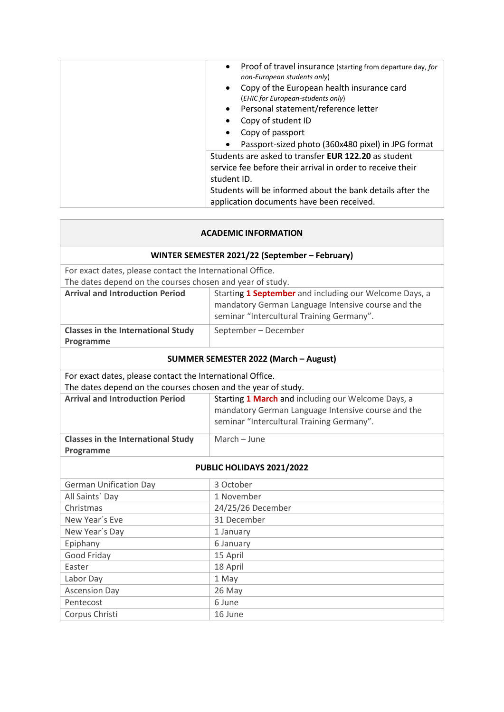| Proof of travel insurance (starting from departure day, for |
|-------------------------------------------------------------|
| non-European students only)                                 |
| Copy of the European health insurance card                  |
| (EHIC for European-students only)                           |
| Personal statement/reference letter                         |
| Copy of student ID                                          |
| Copy of passport                                            |
| Passport-sized photo (360x480 pixel) in JPG format          |
| Students are asked to transfer <b>EUR 122.20</b> as student |
| service fee before their arrival in order to receive their  |
| student ID.                                                 |
| Students will be informed about the bank details after the  |
| application documents have been received.                   |

 $\mathbb{R}^n$ 

| <b>ACADEMIC INFORMATION</b>                                   |                                                                                                                                                           |  |  |  |
|---------------------------------------------------------------|-----------------------------------------------------------------------------------------------------------------------------------------------------------|--|--|--|
| WINTER SEMESTER 2021/22 (September - February)                |                                                                                                                                                           |  |  |  |
| For exact dates, please contact the International Office.     |                                                                                                                                                           |  |  |  |
| The dates depend on the courses chosen and year of study.     |                                                                                                                                                           |  |  |  |
| <b>Arrival and Introduction Period</b>                        | Starting 1 September and including our Welcome Days, a<br>mandatory German Language Intensive course and the<br>seminar "Intercultural Training Germany". |  |  |  |
| <b>Classes in the International Study</b><br>Programme        | September - December                                                                                                                                      |  |  |  |
| <b>SUMMER SEMESTER 2022 (March - August)</b>                  |                                                                                                                                                           |  |  |  |
| For exact dates, please contact the International Office.     |                                                                                                                                                           |  |  |  |
| The dates depend on the courses chosen and the year of study. |                                                                                                                                                           |  |  |  |
| <b>Arrival and Introduction Period</b>                        | Starting 1 March and including our Welcome Days, a                                                                                                        |  |  |  |
|                                                               | mandatory German Language Intensive course and the                                                                                                        |  |  |  |
|                                                               | seminar "Intercultural Training Germany".                                                                                                                 |  |  |  |
| <b>Classes in the International Study</b>                     | March - June                                                                                                                                              |  |  |  |
| Programme                                                     |                                                                                                                                                           |  |  |  |
| PUBLIC HOLIDAYS 2021/2022                                     |                                                                                                                                                           |  |  |  |
| <b>German Unification Day</b>                                 | 3 October                                                                                                                                                 |  |  |  |
| All Saints' Day                                               | 1 November                                                                                                                                                |  |  |  |
| Christmas                                                     | 24/25/26 December                                                                                                                                         |  |  |  |
| New Year's Eve                                                | 31 December                                                                                                                                               |  |  |  |
| New Year's Day                                                | 1 January                                                                                                                                                 |  |  |  |
| Epiphany                                                      | 6 January                                                                                                                                                 |  |  |  |
| Good Friday                                                   | 15 April                                                                                                                                                  |  |  |  |
| Easter                                                        | 18 April                                                                                                                                                  |  |  |  |
| Labor Day                                                     | 1 May                                                                                                                                                     |  |  |  |
| <b>Ascension Day</b>                                          | 26 May                                                                                                                                                    |  |  |  |
| Pentecost                                                     | 6 June                                                                                                                                                    |  |  |  |
| Corpus Christi                                                | 16 June                                                                                                                                                   |  |  |  |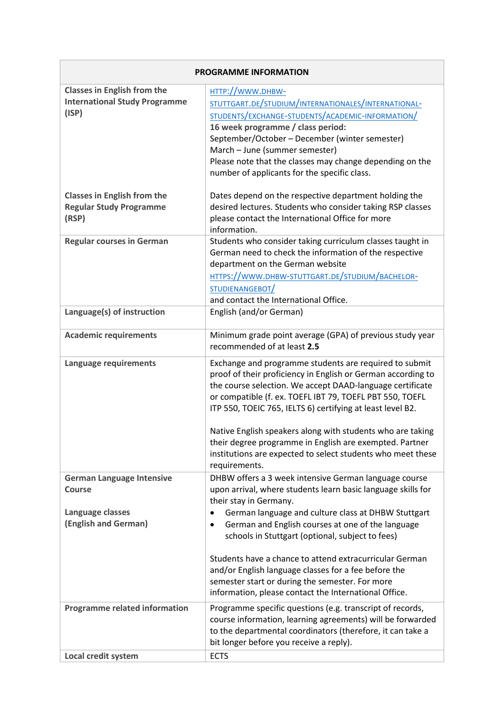| <b>PROGRAMME INFORMATION</b>                                                                  |                                                                                                                                                                                                                                                                                                                                                                                                                                                                                                                        |  |
|-----------------------------------------------------------------------------------------------|------------------------------------------------------------------------------------------------------------------------------------------------------------------------------------------------------------------------------------------------------------------------------------------------------------------------------------------------------------------------------------------------------------------------------------------------------------------------------------------------------------------------|--|
| <b>Classes in English from the</b><br><b>International Study Programme</b><br>(ISP)           | HTTP://WWW.DHBW-<br>STUTTGART.DE/STUDIUM/INTERNATIONALES/INTERNATIONAL-<br>STUDENTS/EXCHANGE-STUDENTS/ACADEMIC-INFORMATION/<br>16 week programme / class period:<br>September/October - December (winter semester)<br>March - June (summer semester)<br>Please note that the classes may change depending on the<br>number of applicants for the specific class.                                                                                                                                                       |  |
| <b>Classes in English from the</b><br><b>Regular Study Programme</b><br>(RSP)                 | Dates depend on the respective department holding the<br>desired lectures. Students who consider taking RSP classes<br>please contact the International Office for more<br>information.                                                                                                                                                                                                                                                                                                                                |  |
| <b>Regular courses in German</b>                                                              | Students who consider taking curriculum classes taught in<br>German need to check the information of the respective<br>department on the German website<br>HTTPS://WWW.DHBW-STUTTGART.DE/STUDIUM/BACHELOR-<br>STUDIENANGEBOT<br>and contact the International Office.                                                                                                                                                                                                                                                  |  |
| Language(s) of instruction                                                                    | English (and/or German)                                                                                                                                                                                                                                                                                                                                                                                                                                                                                                |  |
| <b>Academic requirements</b>                                                                  | Minimum grade point average (GPA) of previous study year<br>recommended of at least 2.5                                                                                                                                                                                                                                                                                                                                                                                                                                |  |
| Language requirements                                                                         | Exchange and programme students are required to submit<br>proof of their proficiency in English or German according to<br>the course selection. We accept DAAD-language certificate<br>or compatible (f. ex. TOEFL IBT 79, TOEFL PBT 550, TOEFL<br>ITP 550, TOEIC 765, IELTS 6) certifying at least level B2.<br>Native English speakers along with students who are taking<br>their degree programme in English are exempted. Partner<br>institutions are expected to select students who meet these<br>requirements. |  |
| <b>German Language Intensive</b><br><b>Course</b><br>Language classes<br>(English and German) | DHBW offers a 3 week intensive German language course<br>upon arrival, where students learn basic language skills for<br>their stay in Germany.<br>German language and culture class at DHBW Stuttgart<br>German and English courses at one of the language<br>$\bullet$<br>schools in Stuttgart (optional, subject to fees)                                                                                                                                                                                           |  |
|                                                                                               | Students have a chance to attend extracurricular German<br>and/or English language classes for a fee before the<br>semester start or during the semester. For more<br>information, please contact the International Office.                                                                                                                                                                                                                                                                                            |  |
| <b>Programme related information</b>                                                          | Programme specific questions (e.g. transcript of records,<br>course information, learning agreements) will be forwarded<br>to the departmental coordinators (therefore, it can take a<br>bit longer before you receive a reply).                                                                                                                                                                                                                                                                                       |  |
| Local credit system                                                                           | <b>ECTS</b>                                                                                                                                                                                                                                                                                                                                                                                                                                                                                                            |  |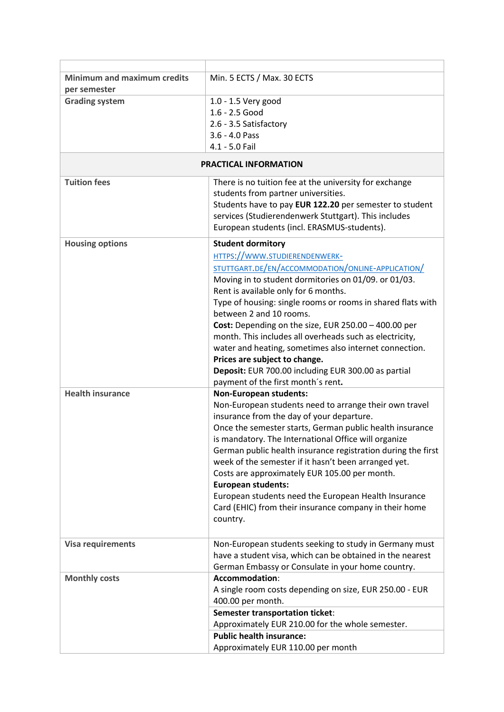| <b>Minimum and maximum credits</b><br>per semester | Min. 5 ECTS / Max. 30 ECTS                                                                                                                                                                                                                                                                                                                                                                                                                                                                                                                                                                                            |  |
|----------------------------------------------------|-----------------------------------------------------------------------------------------------------------------------------------------------------------------------------------------------------------------------------------------------------------------------------------------------------------------------------------------------------------------------------------------------------------------------------------------------------------------------------------------------------------------------------------------------------------------------------------------------------------------------|--|
| <b>Grading system</b>                              | 1.0 - 1.5 Very good<br>1.6 - 2.5 Good<br>2.6 - 3.5 Satisfactory<br>3.6 - 4.0 Pass<br>4.1 - 5.0 Fail                                                                                                                                                                                                                                                                                                                                                                                                                                                                                                                   |  |
| PRACTICAL INFORMATION                              |                                                                                                                                                                                                                                                                                                                                                                                                                                                                                                                                                                                                                       |  |
| <b>Tuition fees</b>                                | There is no tuition fee at the university for exchange<br>students from partner universities.<br>Students have to pay EUR 122.20 per semester to student<br>services (Studierendenwerk Stuttgart). This includes<br>European students (incl. ERASMUS-students).                                                                                                                                                                                                                                                                                                                                                       |  |
| <b>Housing options</b>                             | <b>Student dormitory</b><br>HTTPS://WWW.STUDIERENDENWERK-<br>STUTTGART.DE/EN/ACCOMMODATION/ONLINE-APPLICATION/<br>Moving in to student dormitories on 01/09. or 01/03.<br>Rent is available only for 6 months.<br>Type of housing: single rooms or rooms in shared flats with<br>between 2 and 10 rooms.<br>Cost: Depending on the size, EUR $250.00 - 400.00$ per<br>month. This includes all overheads such as electricity,<br>water and heating, sometimes also internet connection.<br>Prices are subject to change.<br>Deposit: EUR 700.00 including EUR 300.00 as partial<br>payment of the first month's rent. |  |
| <b>Health insurance</b>                            | <b>Non-European students:</b><br>Non-European students need to arrange their own travel<br>insurance from the day of your departure.<br>Once the semester starts, German public health insurance<br>is mandatory. The International Office will organize<br>German public health insurance registration during the first<br>week of the semester if it hasn't been arranged yet.<br>Costs are approximately EUR 105.00 per month.<br><b>European students:</b><br>European students need the European Health Insurance<br>Card (EHIC) from their insurance company in their home<br>country.                          |  |
| <b>Visa requirements</b>                           | Non-European students seeking to study in Germany must<br>have a student visa, which can be obtained in the nearest<br>German Embassy or Consulate in your home country.                                                                                                                                                                                                                                                                                                                                                                                                                                              |  |
| <b>Monthly costs</b>                               | Accommodation:<br>A single room costs depending on size, EUR 250.00 - EUR<br>400.00 per month.<br><b>Semester transportation ticket:</b><br>Approximately EUR 210.00 for the whole semester.<br><b>Public health insurance:</b><br>Approximately EUR 110.00 per month                                                                                                                                                                                                                                                                                                                                                 |  |